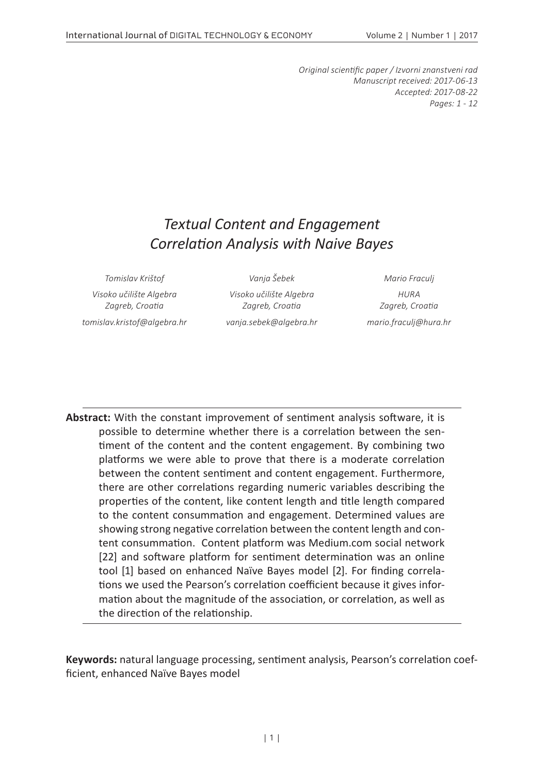*Original scientific paper / Izvorni znanstveni rad Manuscript received: 2017-06-13 Accepted: 2017-08-22 Pages: 1 - 12*

# *Textual Content and Engagement Correlation Analysis with Naive Bayes*

*Visoko učilište Algebra Zagreb, Croatia tomislav.kristof@algebra.hr vanja.sebek@algebra.hr mario.fraculj@hura.hr*

*Tomislav Krištof Vanja Šebek Mario Fraculj Visoko učilište Algebra Zagreb, Croatia*

*HURA Zagreb, Croatia*

**Abstract:** With the constant improvement of sentiment analysis software, it is possible to determine whether there is a correlation between the sentiment of the content and the content engagement. By combining two platforms we were able to prove that there is a moderate correlation between the content sentiment and content engagement. Furthermore, there are other correlations regarding numeric variables describing the properties of the content, like content length and title length compared to the content consummation and engagement. Determined values are showing strong negative correlation between the content length and content consummation. Content platform was Medium.com social network [22] and software platform for sentiment determination was an online tool [1] based on enhanced Naïve Bayes model [2]. For finding correlations we used the Pearson's correlation coefficient because it gives information about the magnitude of the association, or correlation, as well as the direction of the relationship.

**Keywords:** natural language processing, sentiment analysis, Pearson's correlation coefficient, enhanced Naïve Bayes model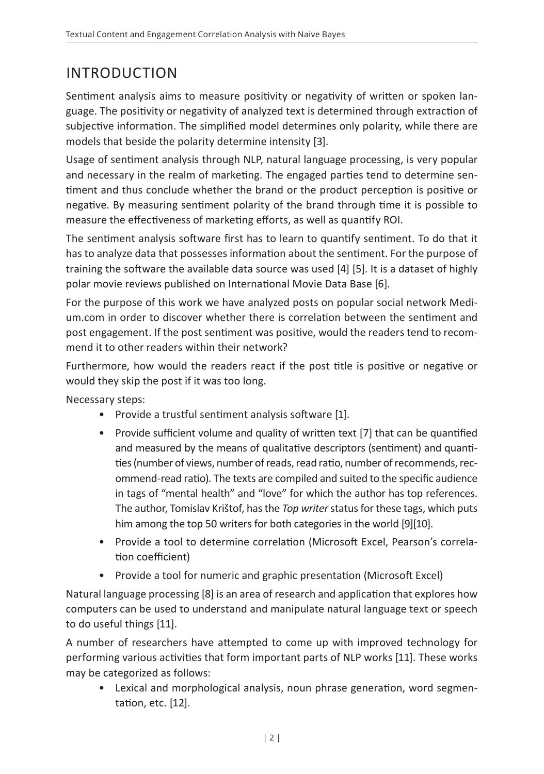# INTRODUCTION

Sentiment analysis aims to measure positivity or negativity of written or spoken language. The positivity or negativity of analyzed text is determined through extraction of subjective information. The simplified model determines only polarity, while there are models that beside the polarity determine intensity [3].

Usage of sentiment analysis through NLP, natural language processing, is very popular and necessary in the realm of marketing. The engaged parties tend to determine sentiment and thus conclude whether the brand or the product perception is positive or negative. By measuring sentiment polarity of the brand through time it is possible to measure the effectiveness of marketing efforts, as well as quantify ROI.

The sentiment analysis software first has to learn to quantify sentiment. To do that it has to analyze data that possesses information about the sentiment. For the purpose of training the software the available data source was used [4] [5]. It is a dataset of highly polar movie reviews published on International Movie Data Base [6].

For the purpose of this work we have analyzed posts on popular social network Medium.com in order to discover whether there is correlation between the sentiment and post engagement. If the post sentiment was positive, would the readers tend to recommend it to other readers within their network?

Furthermore, how would the readers react if the post title is positive or negative or would they skip the post if it was too long.

Necessary steps:

- Provide a trustful sentiment analysis software [1].
- Provide sufficient volume and quality of written text [7] that can be quantified and measured by the means of qualitative descriptors (sentiment) and quantities (number of views, number of reads, read ratio, number of recommends, recommend-read ratio). The texts are compiled and suited to the specific audience in tags of "mental health" and "love" for which the author has top references. The author, Tomislav Krištof, has the *Top writer* status for these tags, which puts him among the top 50 writers for both categories in the world [9][10].
- Provide a tool to determine correlation (Microsoft Excel, Pearson's correlation coefficient)
- Provide a tool for numeric and graphic presentation (Microsoft Excel)

Natural language processing [8] is an area of research and application that explores how computers can be used to understand and manipulate natural language text or speech to do useful things [11].

A number of researchers have attempted to come up with improved technology for performing various activities that form important parts of NLP works [11]. These works may be categorized as follows:

• Lexical and morphological analysis, noun phrase generation, word segmentation, etc. [12].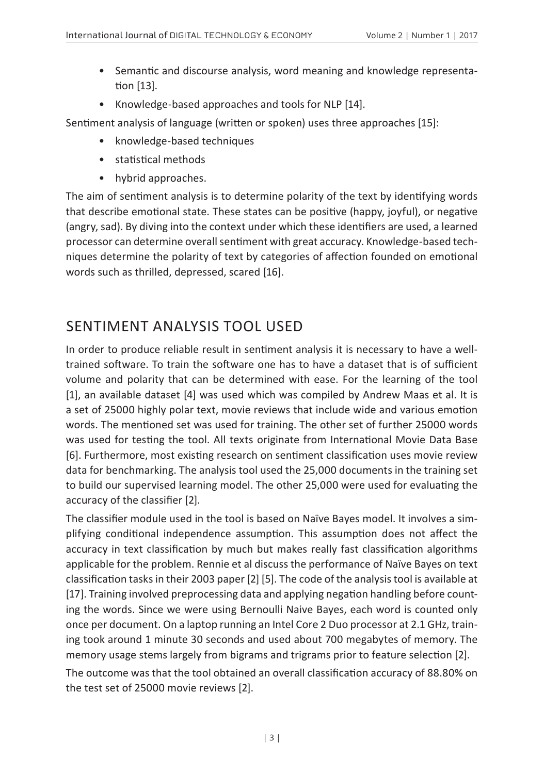- Semantic and discourse analysis, word meaning and knowledge representation [13].
- Knowledge-based approaches and tools for NLP [14].

Sentiment analysis of language (written or spoken) uses three approaches [15]:

- knowledge-based techniques
- statistical methods
- hybrid approaches.

The aim of sentiment analysis is to determine polarity of the text by identifying words that describe emotional state. These states can be positive (happy, joyful), or negative (angry, sad). By diving into the context under which these identifiers are used, a learned processor can determine overall sentiment with great accuracy. Knowledge-based techniques determine the polarity of text by categories of affection founded on emotional words such as thrilled, depressed, scared [16].

## SENTIMENT ANALYSIS TOOL USED

In order to produce reliable result in sentiment analysis it is necessary to have a welltrained software. To train the software one has to have a dataset that is of sufficient volume and polarity that can be determined with ease. For the learning of the tool [1], an available dataset [4] was used which was compiled by Andrew Maas et al. It is a set of 25000 highly polar text, movie reviews that include wide and various emotion words. The mentioned set was used for training. The other set of further 25000 words was used for testing the tool. All texts originate from International Movie Data Base [6]. Furthermore, most existing research on sentiment classification uses movie review data for benchmarking. The analysis tool used the 25,000 documents in the training set to build our supervised learning model. The other 25,000 were used for evaluating the accuracy of the classifier [2].

The classifier module used in the tool is based on Naïve Bayes model. It involves a simplifying conditional independence assumption. This assumption does not affect the accuracy in text classification by much but makes really fast classification algorithms applicable for the problem. Rennie et al discuss the performance of Naïve Bayes on text classification tasks in their 2003 paper [2] [5]. The code of the analysis tool is available at [17]. Training involved preprocessing data and applying negation handling before counting the words. Since we were using Bernoulli Naive Bayes, each word is counted only once per document. On a laptop running an Intel Core 2 Duo processor at 2.1 GHz, training took around 1 minute 30 seconds and used about 700 megabytes of memory. The memory usage stems largely from bigrams and trigrams prior to feature selection [2].

The outcome was that the tool obtained an overall classification accuracy of 88.80% on the test set of 25000 movie reviews [2].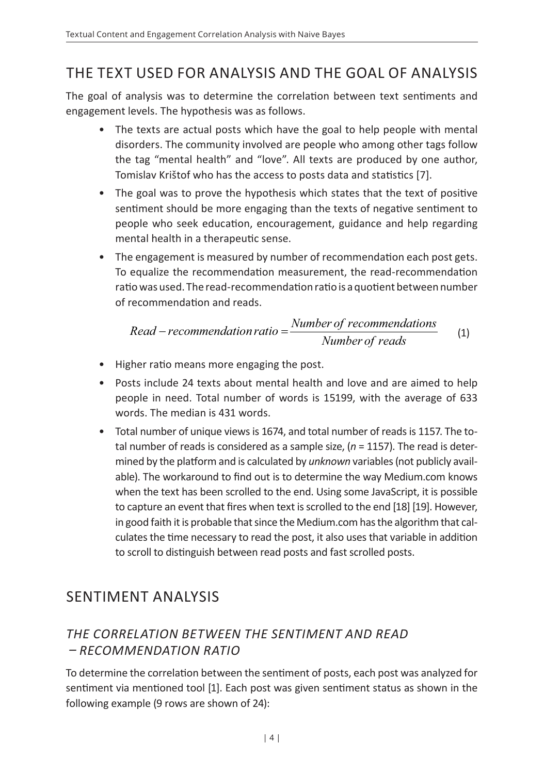## THE TEXT USED FOR ANALYSIS AND THE GOAL OF ANALYSIS

The goal of analysis was to determine the correlation between text sentiments and engagement levels. The hypothesis was as follows.

- The texts are actual posts which have the goal to help people with mental disorders. The community involved are people who among other tags follow the tag "mental health" and "love". All texts are produced by one author, Tomislav Krištof who has the access to posts data and statistics [7].
- The goal was to prove the hypothesis which states that the text of positive sentiment should be more engaging than the texts of negative sentiment to people who seek education, encouragement, guidance and help regarding mental health in a therapeutic sense.
- The engagement is measured by number of recommendation each post gets. To equalize the recommendation measurement, the read-recommendation ratio was used. The read-recommendation ratio is a quotient between number of recommendation and reads.

$$
Read-recommandation ratio = \frac{Number of recommendations}{Number of reads}
$$
 (1)

- Higher ratio means more engaging the post.
- Posts include 24 texts about mental health and love and are aimed to help people in need. Total number of words is 15199, with the average of 633 words. The median is 431 words.
- Total number of unique views is 1674, and total number of reads is 1157. The total number of reads is considered as a sample size, (*n* = 1157). The read is determined by the platform and is calculated by *unknown* variables (not publicly available). The workaround to find out is to determine the way Medium.com knows when the text has been scrolled to the end. Using some JavaScript, it is possible to capture an event that fires when text is scrolled to the end [18] [19]. However, in good faith it is probable that since the Medium.com has the algorithm that calculates the time necessary to read the post, it also uses that variable in addition to scroll to distinguish between read posts and fast scrolled posts.

### SENTIMENT ANALYSIS

#### *THE CORRELATION BETWEEN THE SENTIMENT AND READ – RECOMMENDATION RATIO*

To determine the correlation between the sentiment of posts, each post was analyzed for sentiment via mentioned tool [1]. Each post was given sentiment status as shown in the following example (9 rows are shown of 24):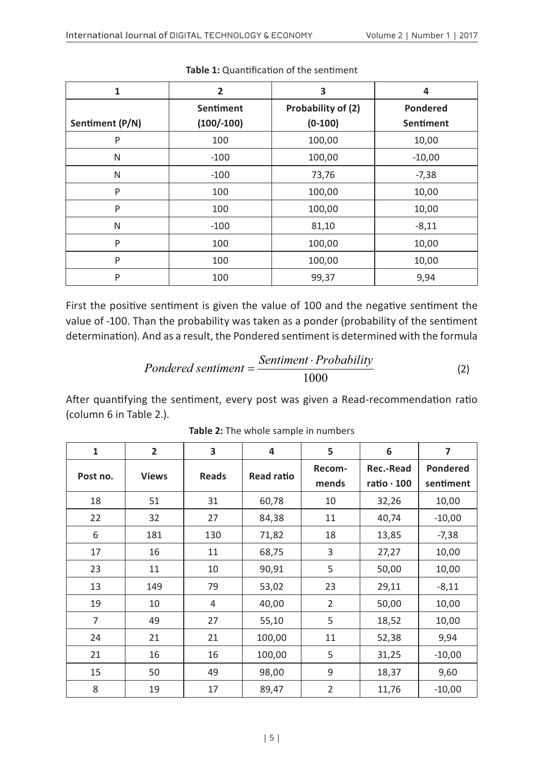| 1               | $\overline{2}$ | 3                  | 4               |
|-----------------|----------------|--------------------|-----------------|
|                 | Sentiment      | Probability of (2) | <b>Pondered</b> |
| Sentiment (P/N) | $(100/-100)$   | $(0-100)$          | Sentiment       |
| P               | 100            | 100,00             | 10,00           |
| N               | $-100$         | 100,00             | $-10,00$        |
| N               | $-100$         | 73,76              | $-7,38$         |
| P               | 100            | 100,00             | 10,00           |
| P               | 100            | 100,00             | 10,00           |
| N               | $-100$         | 81,10              | $-8,11$         |
| P               | 100            | 100,00             | 10,00           |
| P               | 100            | 100,00             | 10,00           |
| P               | 100            | 99,37              | 9,94            |

**Table 1:** Quantification of the sentiment

First the positive sentiment is given the value of 100 and the negative sentiment the value of -100. Than the probability was taken as a ponder (probability of the sentiment determination). And as a result, the Pondered sentiment is determined with the formula

$$
Pondered sentiment = \frac{Sentiment \cdot Probability}{1000} \tag{2}
$$

After quantifying the sentiment, every post was given a Read-recommendation ratio (column 6 in Table 2.).

| 1              | $\overline{2}$ | 3            | 4          | 5              | 6                 | 7               |
|----------------|----------------|--------------|------------|----------------|-------------------|-----------------|
| Post no.       | <b>Views</b>   | <b>Reads</b> | Read ratio |                | Rec.-Read         | <b>Pondered</b> |
|                |                |              |            | mends          | ratio $\cdot$ 100 | sentiment       |
| 18             | 51             | 31           | 60,78      | 10             | 32,26             | 10,00           |
| 22             | 32             | 27           | 84,38      | 11             | 40,74             | $-10,00$        |
| 6              | 181            | 130          | 71,82      | 18             | 13,85             | $-7,38$         |
| 17             | 16             | 11           | 68,75      | 3              | 27,27             | 10,00           |
| 23             | 11             | 10           | 90,91      | 5              | 50,00             | 10,00           |
| 13             | 149            | 79           | 53,02      | 23             | 29,11             | $-8,11$         |
| 19             | 10             | 4            | 40,00      | $\overline{2}$ | 50,00             | 10,00           |
| $\overline{7}$ | 49             | 27           | 55,10      | 5              | 18,52             | 10,00           |
| 24             | 21             | 21           | 100,00     | 11             | 52,38             | 9,94            |
| 21             | 16             | 16           | 100,00     | 5              | 31,25             | $-10,00$        |
| 15             | 50             | 49           | 98,00      | 9              | 18,37             | 9,60            |
| 8              | 19             | 17           | 89,47      | 2              | 11,76             | $-10,00$        |

**Table 2:** The whole sample in numbers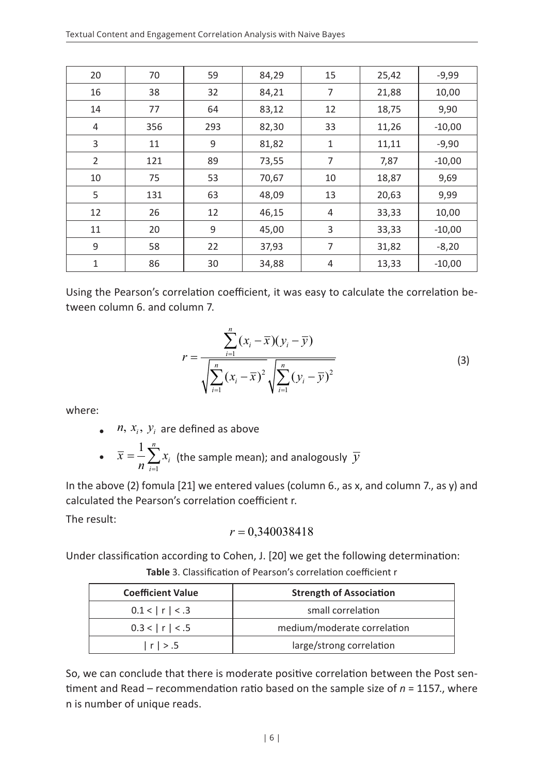| 20 | 70  | 59  | 84,29 | 15 | 25,42 | $-9,99$  |
|----|-----|-----|-------|----|-------|----------|
| 16 | 38  | 32  | 84,21 | 7  | 21,88 | 10,00    |
| 14 | 77  | 64  | 83,12 | 12 | 18,75 | 9,90     |
| 4  | 356 | 293 | 82,30 | 33 | 11,26 | $-10,00$ |
| 3  | 11  | 9   | 81,82 | 1  | 11,11 | $-9,90$  |
| 2  | 121 | 89  | 73,55 | 7  | 7,87  | $-10,00$ |
| 10 | 75  | 53  | 70,67 | 10 | 18,87 | 9,69     |
| 5  | 131 | 63  | 48,09 | 13 | 20,63 | 9,99     |
| 12 | 26  | 12  | 46,15 | 4  | 33,33 | 10,00    |
| 11 | 20  | 9   | 45,00 | 3  | 33,33 | $-10,00$ |
| 9  | 58  | 22  | 37,93 | 7  | 31,82 | $-8,20$  |
| 1  | 86  | 30  | 34,88 | 4  | 13,33 | $-10,00$ |

Using the Pearson's correlation coefficient, it was easy to calculate the correlation between column 6. and column 7.

$$
r = \frac{\sum_{i=1}^{n} (x_i - \overline{x})(y_i - \overline{y})}{\sqrt{\sum_{i=1}^{n} (x_i - \overline{x})^2} \sqrt{\sum_{i=1}^{n} (y_i - \overline{y})^2}}
$$
(3)

where:

•  $n, x_i, y_i$  are defined as above

• 
$$
\overline{x} = \frac{1}{n} \sum_{i=1}^{n} x_i
$$
 (the sample mean); and analogously  $\overline{y}$ 

In the above (2) fomula [21] we entered values (column 6., as x, and column 7., as y) and calculated the Pearson's correlation coefficient r.

The result:

$$
r = 0,340038418
$$

Under classification according to Cohen, J. [20] we get the following determination:

| <b>Table</b> 3. Classification of Pearson's correlation coefficient r |  |
|-----------------------------------------------------------------------|--|
|-----------------------------------------------------------------------|--|

| <b>Coefficient Value</b> | <b>Strength of Association</b> |  |  |
|--------------------------|--------------------------------|--|--|
| 0.1 <  r  < .3           | small correlation              |  |  |
| 0.3 <  r  < .5           | medium/moderate correlation    |  |  |
| r  > .5                  | large/strong correlation       |  |  |

So, we can conclude that there is moderate positive correlation between the Post sentiment and Read – recommendation ratio based on the sample size of *n* = 1157., where n is number of unique reads.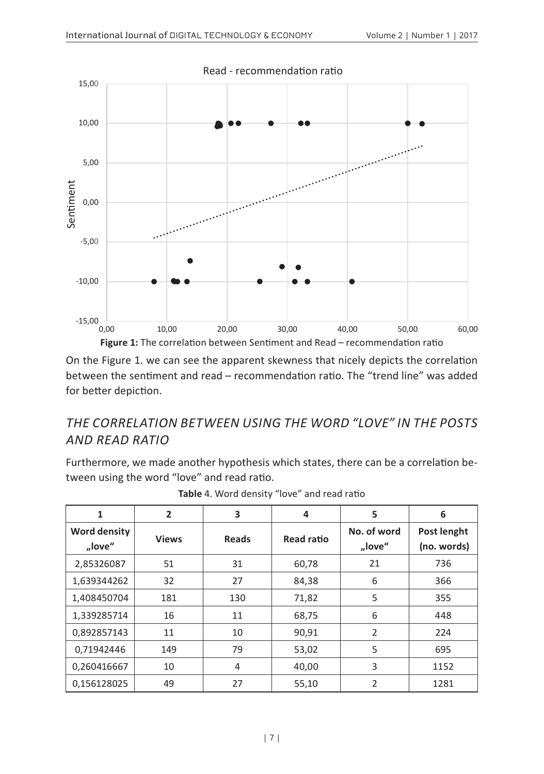

On the Figure 1. we can see the apparent skewness that nicely depicts the correlation between the sentiment and read – recommendation ratio. The "trend line" was added for better depiction.

#### *THE CORRELATION BETWEEN USING THE WORD "LOVE" IN THE POSTS AND READ RATIO*

Furthermore, we made another hypothesis which states, there can be a correlation between using the word "love" and read ratio.

| 1                      | $\overline{2}$ | 3            | 4                 | 5                     | 6                          |
|------------------------|----------------|--------------|-------------------|-----------------------|----------------------------|
| Word density<br>"love" | <b>Views</b>   | <b>Reads</b> | <b>Read ratio</b> | No. of word<br>"love" | Post lenght<br>(no. words) |
| 2,85326087             | 51             | 31           | 60,78             | 21                    | 736                        |
| 1,639344262            | 32             | 27           | 84,38             | 6                     | 366                        |
| 1,408450704            | 181            | 130          | 71,82             | 5                     | 355                        |
| 1,339285714            | 16             | 11           | 68,75             | 6                     | 448                        |
| 0,892857143            | 11             | 10           | 90,91             | $\overline{2}$        | 224                        |
| 0,71942446             | 149            | 79           | 53,02             | 5                     | 695                        |
| 0,260416667            | 10             | 4            | 40,00             | 3                     | 1152                       |
| 0,156128025            | 49             | 27           | 55,10             | $\overline{2}$        | 1281                       |

| Table 4. Word density "love" and read ratio |  |  |  |  |  |
|---------------------------------------------|--|--|--|--|--|
|---------------------------------------------|--|--|--|--|--|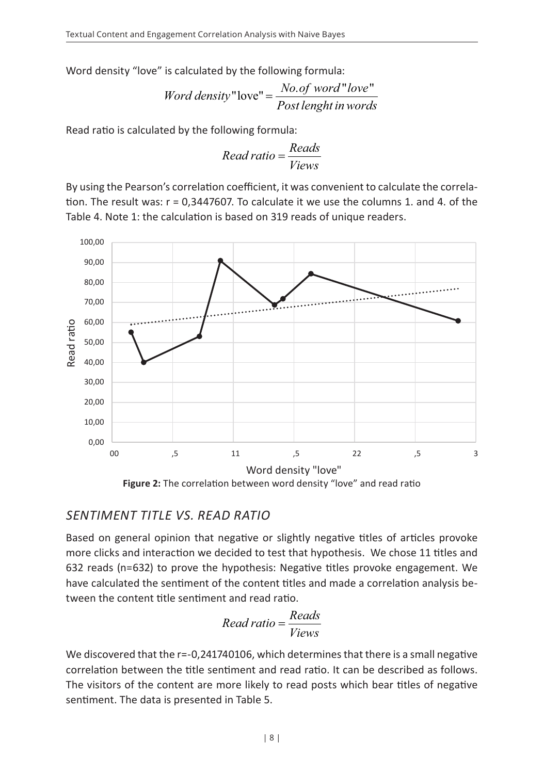Word density "love" is calculated by the following formula:

*Word density* "love" = 
$$
\frac{No.of word "love"}{Post length in words}
$$

Read ratio is calculated by the following formula:

$$
Read ratio = \frac{Reads}{Views}
$$

By using the Pearson's correlation coefficient, it was convenient to calculate the correlation. The result was:  $r = 0.3447607$ . To calculate it we use the columns 1. and 4. of the Table 4. Note 1: the calculation is based on 319 reads of unique readers.



#### *SENTIMENT TITLE VS. READ RATIO*

Based on general opinion that negative or slightly negative titles of articles provoke more clicks and interaction we decided to test that hypothesis. We chose 11 titles and 632 reads (n=632) to prove the hypothesis: Negative titles provoke engagement. We have calculated the sentiment of the content titles and made a correlation analysis between the content title sentiment and read ratio.

$$
Read\, ratio = \frac{Reads}{Views}
$$

We discovered that the r=-0,241740106, which determines that there is a small negative correlation between the title sentiment and read ratio. It can be described as follows. The visitors of the content are more likely to read posts which bear titles of negative sentiment. The data is presented in Table 5.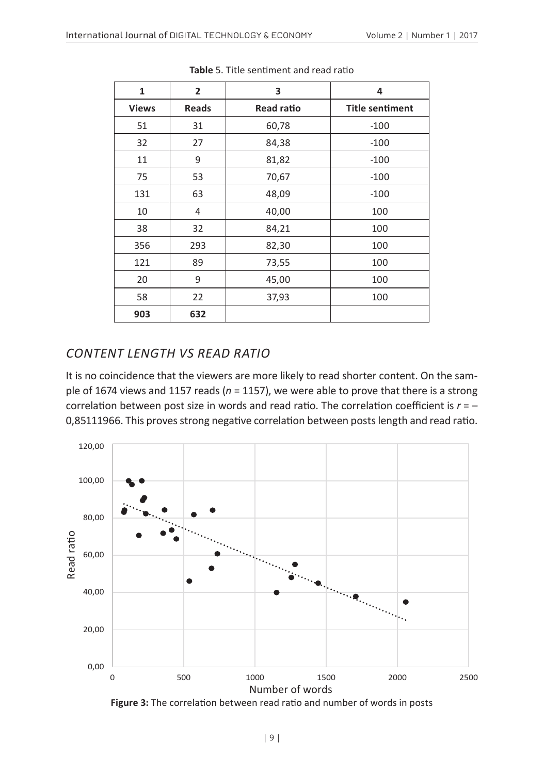| 1            | $\overline{2}$ | 3          | 4                      |
|--------------|----------------|------------|------------------------|
| <b>Views</b> | Reads          | Read ratio | <b>Title sentiment</b> |
| 51           | 31             | 60,78      | $-100$                 |
| 32           | 27             | 84,38      | $-100$                 |
| 11           | 9              | 81,82      | $-100$                 |
| 75           | 53             | 70,67      | $-100$                 |
| 131          | 63             | 48,09      | $-100$                 |
| 10           | 4              | 40,00      | 100                    |
| 38           | 32             | 84,21      | 100                    |
| 356          | 293            | 82,30      | 100                    |
| 121          | 89             | 73,55      | 100                    |
| 20           | 9              | 45,00      | 100                    |
| 58           | 22             | 37,93      | 100                    |
| 903          | 632            |            |                        |

**Table** 5. Title sentiment and read ratio

#### *CONTENT LENGTH VS READ RATIO*

It is no coincidence that the viewers are more likely to read shorter content. On the sample of 1674 views and 1157 reads (*n* = 1157), we were able to prove that there is a strong correlation between post size in words and read ratio. The correlation coefficient is *r* = – 0,85111966. This proves strong negative correlation between posts length and read ratio.



**Figure 3:** The correlation between read ratio and number of words in posts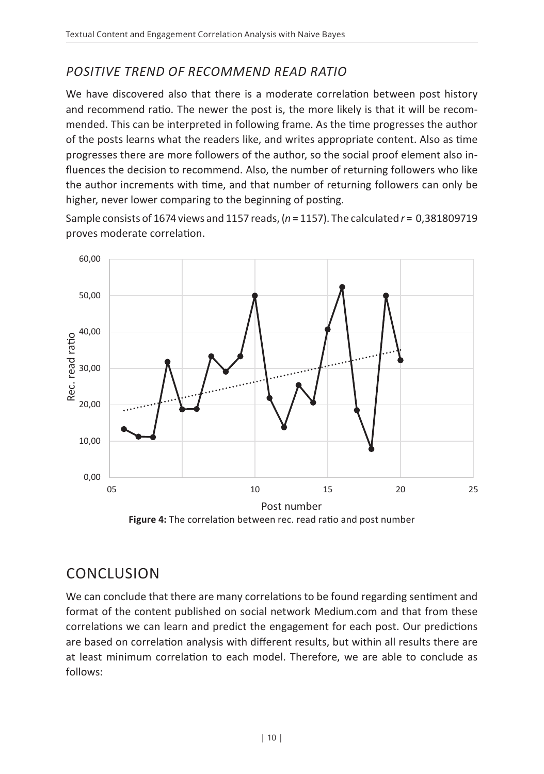### *POSITIVE TREND OF RECOMMEND READ RATIO*

We have discovered also that there is a moderate correlation between post history and recommend ratio. The newer the post is, the more likely is that it will be recommended. This can be interpreted in following frame. As the time progresses the author of the posts learns what the readers like, and writes appropriate content. Also as time progresses there are more followers of the author, so the social proof element also influences the decision to recommend. Also, the number of returning followers who like the author increments with time, and that number of returning followers can only be higher, never lower comparing to the beginning of posting.

Sample consists of 1674 views and 1157 reads, (*n* = 1157). The calculated *r* = 0,381809719 proves moderate correlation.



**Figure 4:** The correlation between rec. read ratio and post number

### **CONCLUSION**

We can conclude that there are many correlations to be found regarding sentiment and format of the content published on social network Medium.com and that from these correlations we can learn and predict the engagement for each post. Our predictions are based on correlation analysis with different results, but within all results there are at least minimum correlation to each model. Therefore, we are able to conclude as follows: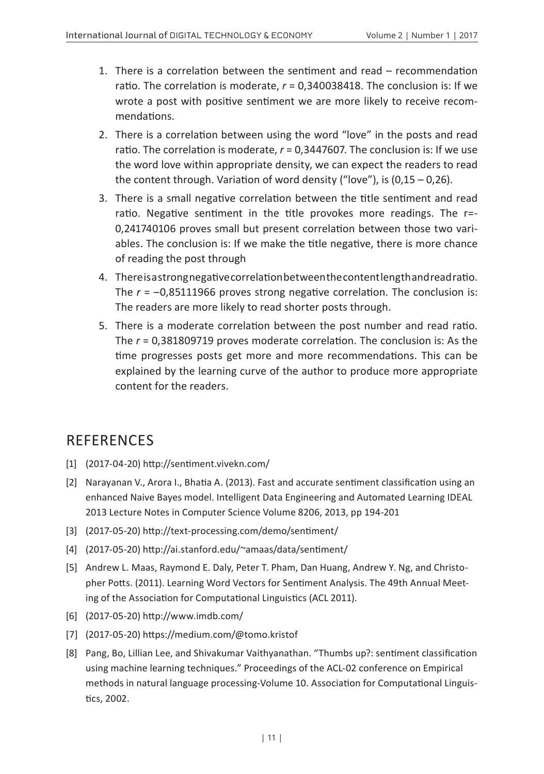- 1. There is a correlation between the sentiment and read recommendation ratio. The correlation is moderate, *r* = 0,340038418. The conclusion is: If we wrote a post with positive sentiment we are more likely to receive recommendations.
- 2. There is a correlation between using the word "love" in the posts and read ratio. The correlation is moderate, *r* = 0,3447607. The conclusion is: If we use the word love within appropriate density, we can expect the readers to read the content through. Variation of word density ("love"), is  $(0.15 - 0.26)$ .
- 3. There is a small negative correlation between the title sentiment and read ratio. Negative sentiment in the title provokes more readings. The r=- 0,241740106 proves small but present correlation between those two variables. The conclusion is: If we make the title negative, there is more chance of reading the post through
- 4. There is a strong negative correlation between the content length and read ratio. The *r* = –0,85111966 proves strong negative correlation. The conclusion is: The readers are more likely to read shorter posts through.
- 5. There is a moderate correlation between the post number and read ratio. The *r* = 0,381809719 proves moderate correlation. The conclusion is: As the time progresses posts get more and more recommendations. This can be explained by the learning curve of the author to produce more appropriate content for the readers.

### **REFERENCES**

- [1] (2017-04-20) http://sentiment.vivekn.com/
- [2] Narayanan V., Arora I., Bhatia A. (2013). Fast and accurate sentiment classification using an enhanced Naive Bayes model. Intelligent Data Engineering and Automated Learning IDEAL 2013 Lecture Notes in Computer Science Volume 8206, 2013, pp 194-201
- [3] (2017-05-20) http://text-processing.com/demo/sentiment/
- [4] (2017-05-20) http://ai.stanford.edu/~amaas/data/sentiment/
- [5] Andrew L. Maas, Raymond E. Daly, Peter T. Pham, Dan Huang, Andrew Y. Ng, and Christopher Potts. (2011). Learning Word Vectors for Sentiment Analysis. The 49th Annual Meeting of the Association for Computational Linguistics (ACL 2011).
- [6] (2017-05-20) http://www.imdb.com/
- [7] (2017-05-20) https://medium.com/@tomo.kristof
- [8] Pang, Bo, Lillian Lee, and Shivakumar Vaithyanathan. "Thumbs up?: sentiment classification using machine learning techniques." Proceedings of the ACL-02 conference on Empirical methods in natural language processing-Volume 10. Association for Computational Linguistics, 2002.